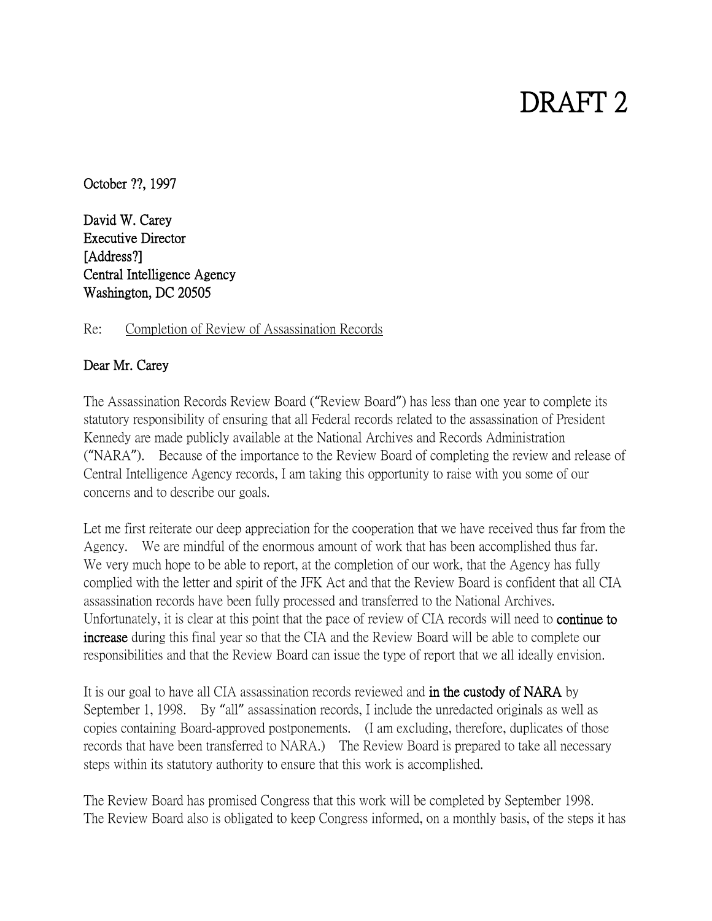## DRAFT 2

October ??, 1997

David W. Carey Executive Director [Address?] Central Intelligence Agency Washington, DC 20505

Re: Completion of Review of Assassination Records

## Dear Mr. Carey

The Assassination Records Review Board ("Review Board") has less than one year to complete its statutory responsibility of ensuring that all Federal records related to the assassination of President Kennedy are made publicly available at the National Archives and Records Administration ("NARA"). Because of the importance to the Review Board of completing the review and release of Central Intelligence Agency records, I am taking this opportunity to raise with you some of our concerns and to describe our goals.

Let me first reiterate our deep appreciation for the cooperation that we have received thus far from the Agency. We are mindful of the enormous amount of work that has been accomplished thus far. We very much hope to be able to report, at the completion of our work, that the Agency has fully complied with the letter and spirit of the JFK Act and that the Review Board is confident that all CIA assassination records have been fully processed and transferred to the National Archives. Unfortunately, it is clear at this point that the pace of review of CIA records will need to continue to increase during this final year so that the CIA and the Review Board will be able to complete our responsibilities and that the Review Board can issue the type of report that we all ideally envision.

It is our goal to have all CIA assassination records reviewed and in the custody of NARA by September 1, 1998. By "all" assassination records, I include the unredacted originals as well as copies containing Board-approved postponements. (I am excluding, therefore, duplicates of those records that have been transferred to NARA.) The Review Board is prepared to take all necessary steps within its statutory authority to ensure that this work is accomplished.

The Review Board has promised Congress that this work will be completed by September 1998. The Review Board also is obligated to keep Congress informed, on a monthly basis, of the steps it has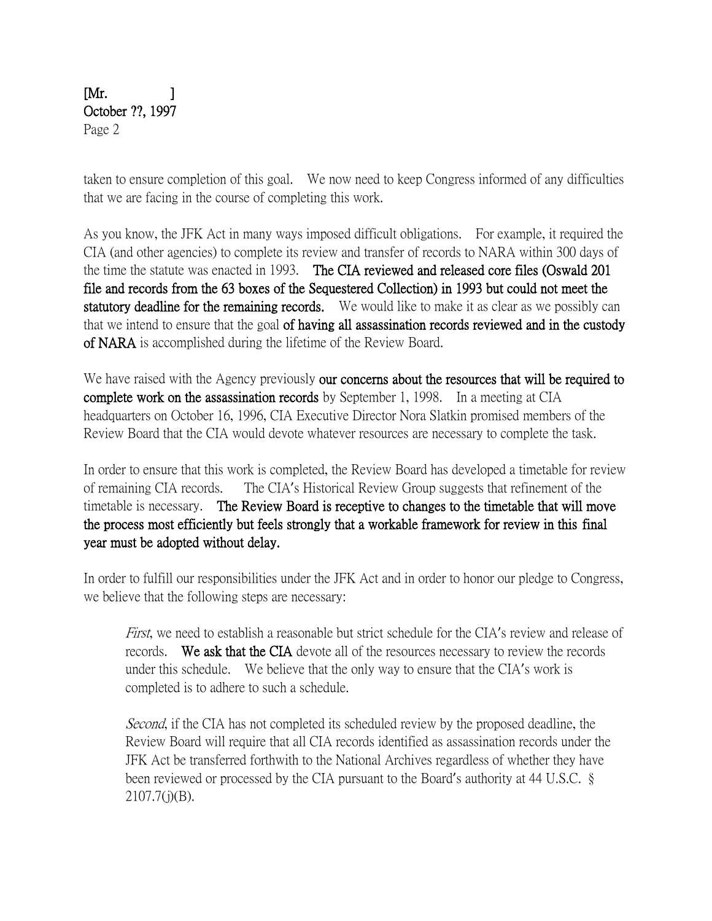## $[Mr. 1]$ October ??, 1997 Page 2

taken to ensure completion of this goal. We now need to keep Congress informed of any difficulties that we are facing in the course of completing this work.

As you know, the JFK Act in many ways imposed difficult obligations. For example, it required the CIA (and other agencies) to complete its review and transfer of records to NARA within 300 days of the time the statute was enacted in 1993. The CIA reviewed and released core files (Oswald 201 file and records from the 63 boxes of the Sequestered Collection) in 1993 but could not meet the statutory deadline for the remaining records. We would like to make it as clear as we possibly can that we intend to ensure that the goal of having all assassination records reviewed and in the custody of NARA is accomplished during the lifetime of the Review Board.

We have raised with the Agency previously our concerns about the resources that will be required to complete work on the assassination records by September 1, 1998. In a meeting at CIA headquarters on October 16, 1996, CIA Executive Director Nora Slatkin promised members of the Review Board that the CIA would devote whatever resources are necessary to complete the task.

In order to ensure that this work is completed, the Review Board has developed a timetable for review of remaining CIA records. The CIA's Historical Review Group suggests that refinement of the timetable is necessary. The Review Board is receptive to changes to the timetable that will move the process most efficiently but feels strongly that a workable framework for review in this final year must be adopted without delay.

In order to fulfill our responsibilities under the JFK Act and in order to honor our pledge to Congress, we believe that the following steps are necessary:

First, we need to establish a reasonable but strict schedule for the CIA's review and release of records. We ask that the CIA devote all of the resources necessary to review the records under this schedule. We believe that the only way to ensure that the CIA's work is completed is to adhere to such a schedule.

Second, if the CIA has not completed its scheduled review by the proposed deadline, the Review Board will require that all CIA records identified as assassination records under the JFK Act be transferred forthwith to the National Archives regardless of whether they have been reviewed or processed by the CIA pursuant to the Board's authority at 44 U.S.C. §  $2107.7(j)(B)$ .